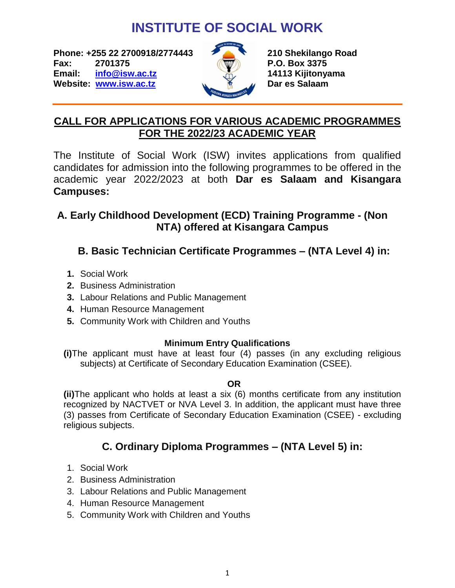# **INSTITUTE OF SOCIAL WORK**

**Phone: +255 22 2700918/2774443 210 Shekilango Road Fax: 2701375 P.O. Box 3375 Email: [info@isw.ac.tz](mailto:info@isw.ac.tz) 14113 Kijitonyama Website:** *[www.isw.ac.tz](http://www.isw.ac.tz/)* **Dares Salaam** 



## **CALL FOR APPLICATIONS FOR VARIOUS ACADEMIC PROGRAMMES FOR THE 2022/23 ACADEMIC YEAR**

The Institute of Social Work (ISW) invites applications from qualified candidates for admission into the following programmes to be offered in the academic year 2022/2023 at both **Dar es Salaam and Kisangara Campuses:**

### **A. Early Childhood Development (ECD) Training Programme - (Non NTA) offered at Kisangara Campus**

# **B. Basic Technician Certificate Programmes – (NTA Level 4) in:**

- **1.** Social Work
- **2.** Business Administration
- **3.** Labour Relations and Public Management
- **4.** Human Resource Management
- **5.** Community Work with Children and Youths

### **Minimum Entry Qualifications**

**(i)**The applicant must have at least four (4) passes (in any excluding religious subjects) at Certificate of Secondary Education Examination (CSEE).

### **OR**

**(ii)**The applicant who holds at least a six (6) months certificate from any institution recognized by NACTVET or NVA Level 3. In addition, the applicant must have three (3) passes from Certificate of Secondary Education Examination (CSEE) - excluding religious subjects.

# **C. Ordinary Diploma Programmes – (NTA Level 5) in:**

- 1. Social Work
- 2. Business Administration
- 3. Labour Relations and Public Management
- 4. Human Resource Management
- 5. Community Work with Children and Youths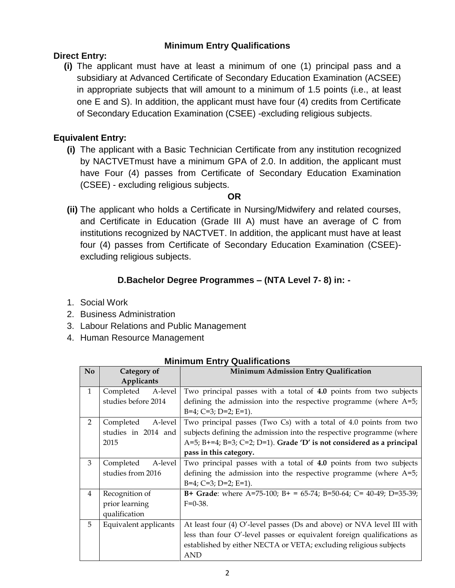### **Minimum Entry Qualifications**

### **Direct Entry:**

**(i)** The applicant must have at least a minimum of one (1) principal pass and a subsidiary at Advanced Certificate of Secondary Education Examination (ACSEE) in appropriate subjects that will amount to a minimum of 1.5 points (i.e., at least one E and S). In addition, the applicant must have four (4) credits from Certificate of Secondary Education Examination (CSEE) -excluding religious subjects.

### **Equivalent Entry:**

**(i)** The applicant with a Basic Technician Certificate from any institution recognized by NACTVETmust have a minimum GPA of 2.0. In addition, the applicant must have Four (4) passes from Certificate of Secondary Education Examination (CSEE) - excluding religious subjects.

### **OR**

**(ii)** The applicant who holds a Certificate in Nursing/Midwifery and related courses, and Certificate in Education (Grade III A) must have an average of C from institutions recognized by NACTVET. In addition, the applicant must have at least four (4) passes from Certificate of Secondary Education Examination (CSEE) excluding religious subjects.

### **D.Bachelor Degree Programmes – (NTA Level 7- 8) in: -**

- 1. Social Work
- 2. Business Administration
- 3. Labour Relations and Public Management
- 4. Human Resource Management

| N <sub>0</sub> | Category of           | Minimum Admission Entry Qualification                                     |
|----------------|-----------------------|---------------------------------------------------------------------------|
|                | Applicants            |                                                                           |
| $\mathbf{1}$   | A-level<br>Completed  | Two principal passes with a total of 4.0 points from two subjects         |
|                | studies before 2014   | defining the admission into the respective programme (where $A=5$ ;       |
|                |                       | $B=4$ ; $C=3$ ; $D=2$ ; $E=1$ ).                                          |
| 2              | Completed<br>A-level  | Two principal passes (Two Cs) with a total of 4.0 points from two         |
|                | studies in 2014 and   | subjects defining the admission into the respective programme (where      |
|                | 2015                  | A=5; B+=4; B=3; C=2; D=1). Grade 'D' is not considered as a principal     |
|                |                       | pass in this category.                                                    |
| 3              | A-level<br>Completed  | Two principal passes with a total of 4.0 points from two subjects         |
|                | studies from 2016     | defining the admission into the respective programme (where $A=5$ ;       |
|                |                       | $B=4$ ; $C=3$ ; $D=2$ ; $E=1$ ).                                          |
| $\overline{4}$ | Recognition of        | <b>B+ Grade</b> : where A=75-100; B+ = 65-74; B=50-64; C= 40-49; D=35-39; |
|                | prior learning        | $F=0-38$ .                                                                |
|                | qualification         |                                                                           |
| 5              | Equivalent applicants | At least four (4) O'-level passes (Ds and above) or NVA level III with    |
|                |                       | less than four O'-level passes or equivalent foreign qualifications as    |
|                |                       | established by either NECTA or VETA; excluding religious subjects         |
|                |                       | <b>AND</b>                                                                |

#### **Minimum Entry Qualifications**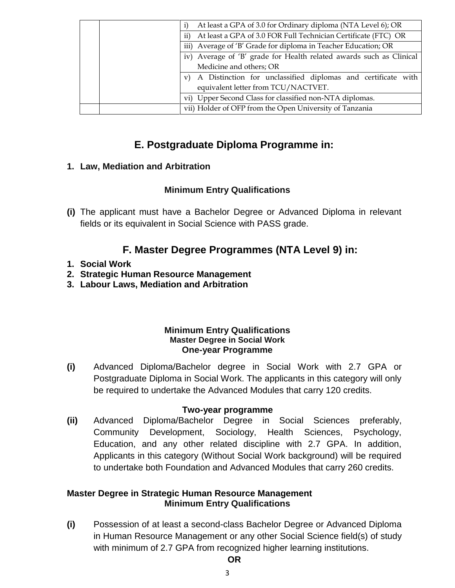| vi) Upper Second Class for classified non-NTA diplomas.<br>vii) Holder of OFP from the Open University of Tanzania |
|--------------------------------------------------------------------------------------------------------------------|
| equivalent letter from TCU/NACTVET.                                                                                |
| v) A Distinction for unclassified diplomas and certificate with                                                    |
| Medicine and others; OR                                                                                            |
| iv) Average of 'B' grade for Health related awards such as Clinical                                                |
| iii) Average of 'B' Grade for diploma in Teacher Education; OR                                                     |
| At least a GPA of 3.0 FOR Full Technician Certificate (FTC) OR<br>$\mathbf{ii}$                                    |
| At least a GPA of 3.0 for Ordinary diploma (NTA Level 6); OR                                                       |

### **E. Postgraduate Diploma Programme in:**

### **1. Law, Mediation and Arbitration**

### **Minimum Entry Qualifications**

**(i)** The applicant must have a Bachelor Degree or Advanced Diploma in relevant fields or its equivalent in Social Science with PASS grade.

### **F. Master Degree Programmes (NTA Level 9) in:**

### **1. Social Work**

- **2. Strategic Human Resource Management**
- **3. Labour Laws, Mediation and Arbitration**

### **Minimum Entry Qualifications Master Degree in Social Work One-year Programme**

**(i)** Advanced Diploma/Bachelor degree in Social Work with 2.7 GPA or Postgraduate Diploma in Social Work. The applicants in this category will only be required to undertake the Advanced Modules that carry 120 credits.

### **Two-year programme**

**(ii)** Advanced Diploma/Bachelor Degree in Social Sciences preferably, Community Development, Sociology, Health Sciences, Psychology, Education, and any other related discipline with 2.7 GPA. In addition, Applicants in this category (Without Social Work background) will be required to undertake both Foundation and Advanced Modules that carry 260 credits.

### **Master Degree in Strategic Human Resource Management Minimum Entry Qualifications**

**(i)** Possession of at least a second-class Bachelor Degree or Advanced Diploma in Human Resource Management or any other Social Science field(s) of study with minimum of 2.7 GPA from recognized higher learning institutions.

#### **OR**